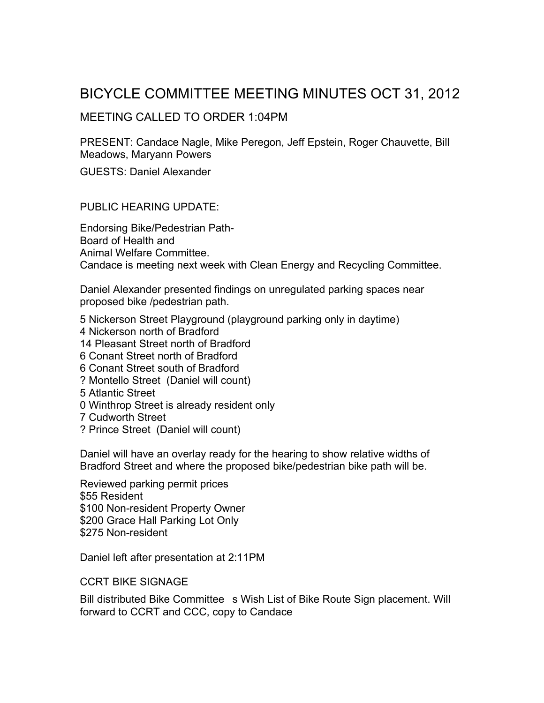## BICYCLE COMMITTEE MEETING MINUTES OCT 31, 2012

## MEETING CALLED TO ORDER 1:04PM

PRESENT: Candace Nagle, Mike Peregon, Jeff Epstein, Roger Chauvette, Bill Meadows, Maryann Powers

GUESTS: Daniel Alexander

PUBLIC HEARING UPDATE:

Endorsing Bike/Pedestrian Path-Board of Health and Animal Welfare Committee. Candace is meeting next week with Clean Energy and Recycling Committee.

Daniel Alexander presented findings on unregulated parking spaces near proposed bike /pedestrian path.

5 Nickerson Street Playground (playground parking only in daytime)

4 Nickerson north of Bradford

14 Pleasant Street north of Bradford

- 6 Conant Street north of Bradford
- 6 Conant Street south of Bradford
- ? Montello Street (Daniel will count)
- 5 Atlantic Street
- 0 Winthrop Street is already resident only
- 7 Cudworth Street
- ? Prince Street (Daniel will count)

Daniel will have an overlay ready for the hearing to show relative widths of Bradford Street and where the proposed bike/pedestrian bike path will be.

Reviewed parking permit prices \$55 Resident \$100 Non-resident Property Owner \$200 Grace Hall Parking Lot Only \$275 Non-resident

Daniel left after presentation at 2:11PM

CCRT BIKE SIGNAGE

Bill distributed Bike Committee s Wish List of Bike Route Sign placement. Will forward to CCRT and CCC, copy to Candace